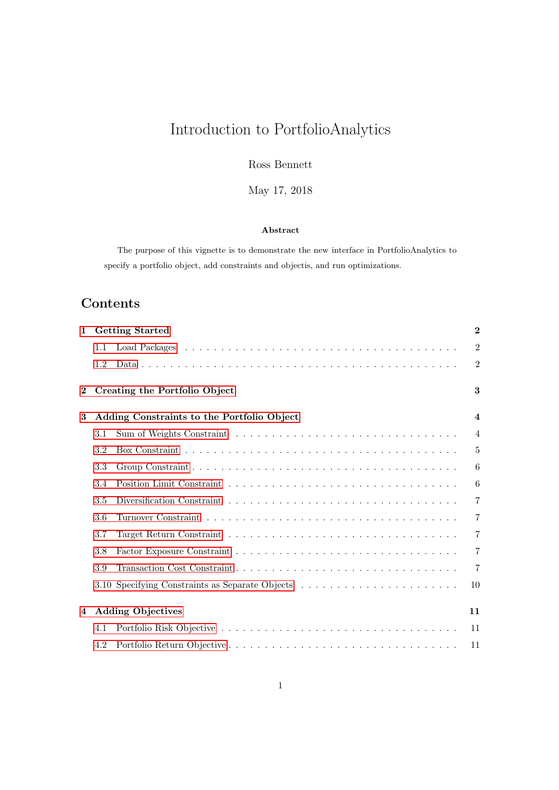# Introduction to PortfolioAnalytics

Ross Bennett

May 17, 2018

#### Abstract

The purpose of this vignette is to demonstrate the new interface in PortfolioAnalytics to specify a portfolio object, add constraints and objectis, and run optimizations.

## Contents

| $\mathbf{1}$ |     | <b>Getting Started</b>                          | $\bf{2}$                |
|--------------|-----|-------------------------------------------------|-------------------------|
|              | 1.1 |                                                 | $\overline{2}$          |
|              | 1.2 |                                                 | $\overline{2}$          |
| $\bf{2}$     |     | Creating the Portfolio Object                   | 3                       |
| 3            |     | Adding Constraints to the Portfolio Object      | $\overline{\mathbf{4}}$ |
|              | 3.1 |                                                 | $\overline{4}$          |
|              | 3.2 |                                                 | $\overline{5}$          |
|              | 3.3 |                                                 | 6                       |
|              | 3.4 |                                                 | 6                       |
|              | 3.5 |                                                 | $\overline{7}$          |
|              | 3.6 |                                                 | $\overline{7}$          |
|              | 3.7 |                                                 | $\overline{7}$          |
|              | 3.8 |                                                 | $\overline{7}$          |
|              | 3.9 |                                                 | $\overline{7}$          |
|              |     | 3.10 Specifying Constraints as Separate Objects | 10                      |
| 4            |     | <b>Adding Objectives</b>                        | 11                      |
|              | 4.1 |                                                 | 11                      |
|              | 4.2 |                                                 | 11                      |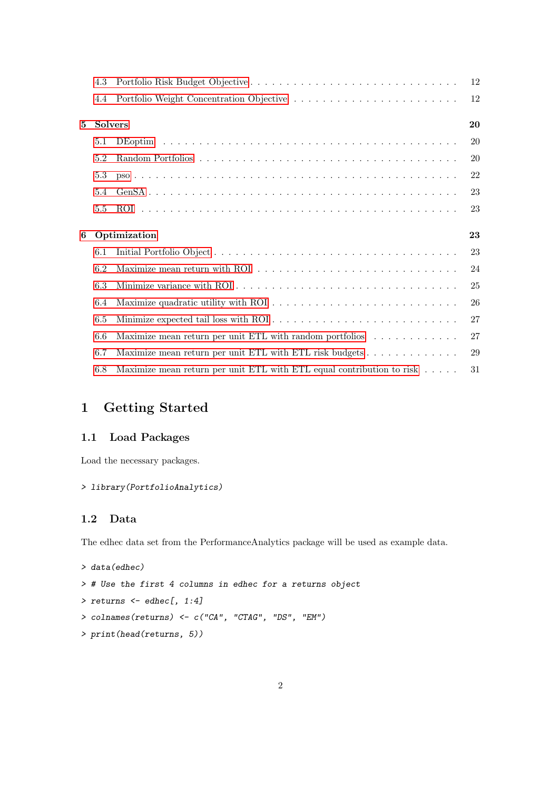|   | 4.3            |                                                                                    | 12 |
|---|----------------|------------------------------------------------------------------------------------|----|
|   | 4.4            |                                                                                    | 12 |
| 5 | <b>Solvers</b> |                                                                                    | 20 |
|   | 5.1            |                                                                                    | 20 |
|   | 5.2            |                                                                                    | 20 |
|   | 5.3            |                                                                                    | 22 |
|   | 5.4            |                                                                                    | 23 |
|   | 5.5            |                                                                                    | 23 |
|   |                |                                                                                    |    |
| 6 |                | Optimization                                                                       | 23 |
|   | 6.1            |                                                                                    | 23 |
|   | 6.2            |                                                                                    | 24 |
|   | 6.3            |                                                                                    | 25 |
|   | 6.4            |                                                                                    | 26 |
|   | 6.5            |                                                                                    | 27 |
|   | 6.6            | Maximize mean return per unit ETL with random portfolios $\dots \dots \dots \dots$ | 27 |
|   | 6.7            | Maximize mean return per unit ETL with ETL risk budgets                            | 29 |

## <span id="page-1-0"></span>1 Getting Started

## <span id="page-1-1"></span>1.1 Load Packages

Load the necessary packages.

## > library(PortfolioAnalytics)

## <span id="page-1-2"></span>1.2 Data

The edhec data set from the PerformanceAnalytics package will be used as example data.

```
> data(edhec)
> # Use the first 4 columns in edhec for a returns object
> returns \leq - edhec[, 1:4]
> colnames(returns) <- c("CA", "CTAG", "DS", "EM")
> print(head(returns, 5))
```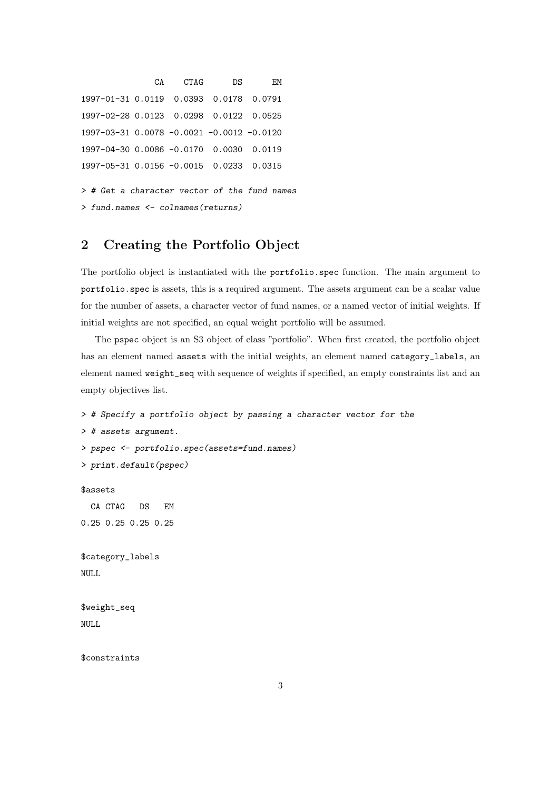```
CA CTAG DS EM
1997-01-31 0.0119 0.0393 0.0178 0.0791
1997-02-28 0.0123 0.0298 0.0122 0.0525
1997-03-31 0.0078 -0.0021 -0.0012 -0.0120
1997-04-30 0.0086 -0.0170 0.0030 0.0119
1997-05-31 0.0156 -0.0015 0.0233 0.0315
> # Get a character vector of the fund names
> fund.names <- colnames(returns)
```
## <span id="page-2-0"></span>2 Creating the Portfolio Object

The portfolio object is instantiated with the portfolio.spec function. The main argument to portfolio.spec is assets, this is a required argument. The assets argument can be a scalar value for the number of assets, a character vector of fund names, or a named vector of initial weights. If initial weights are not specified, an equal weight portfolio will be assumed.

The pspec object is an S3 object of class "portfolio". When first created, the portfolio object has an element named assets with the initial weights, an element named category\_labels, an element named weight\_seq with sequence of weights if specified, an empty constraints list and an empty objectives list.

> # Specify a portfolio object by passing a character vector for the > # assets argument. > pspec <- portfolio.spec(assets=fund.names) > print.default(pspec) \$assets CA CTAG DS EM 0.25 0.25 0.25 0.25 \$category\_labels NULL \$weight\_seq NULL.

\$constraints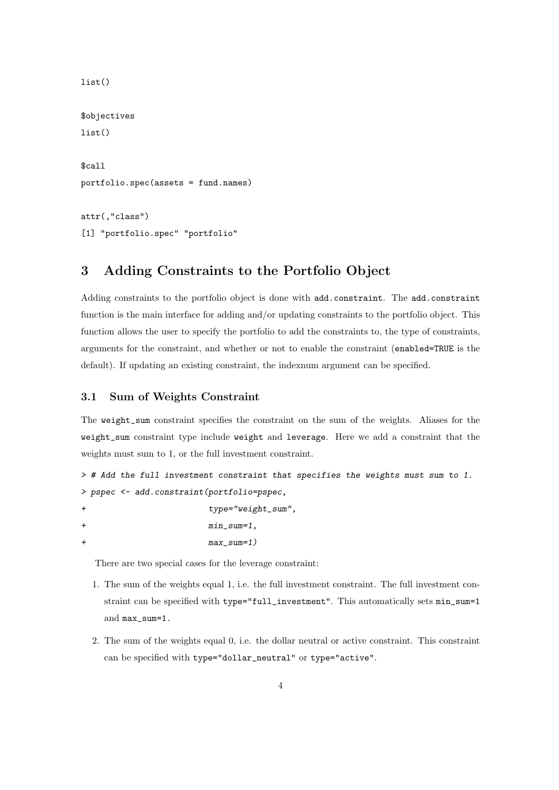```
list()
$objectives
list()$call
portfolio.spec(assets = fund.names)
attr(,"class")
[1] "portfolio.spec" "portfolio"
```
## <span id="page-3-0"></span>3 Adding Constraints to the Portfolio Object

Adding constraints to the portfolio object is done with add.constraint. The add.constraint function is the main interface for adding and/or updating constraints to the portfolio object. This function allows the user to specify the portfolio to add the constraints to, the type of constraints, arguments for the constraint, and whether or not to enable the constraint (enabled=TRUE is the default). If updating an existing constraint, the indexnum argument can be specified.

#### <span id="page-3-1"></span>3.1 Sum of Weights Constraint

The weight\_sum constraint specifies the constraint on the sum of the weights. Aliases for the weight\_sum constraint type include weight and leverage. Here we add a constraint that the weights must sum to 1, or the full investment constraint.

```
> # Add the full investment constraint that specifies the weights must sum to 1.
> pspec <- add.constraint(portfolio=pspec,
```

```
type="weight_sum",
```

```
+ min_sum=1,
```

```
+ max_sum=1)
```
There are two special cases for the leverage constraint:

- 1. The sum of the weights equal 1, i.e. the full investment constraint. The full investment constraint can be specified with type="full\_investment". This automatically sets min\_sum=1 and max\_sum=1.
- 2. The sum of the weights equal 0, i.e. the dollar neutral or active constraint. This constraint can be specified with type="dollar\_neutral" or type="active".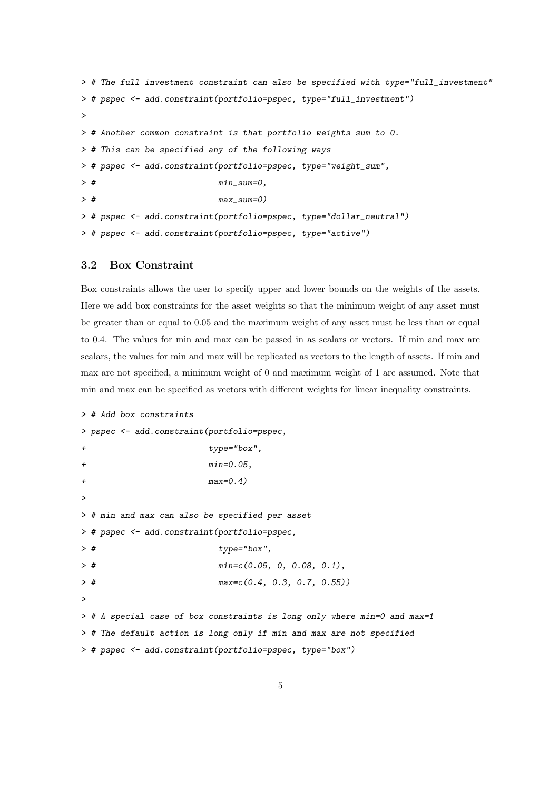```
> # The full investment constraint can also be specified with type="full_investment"
> # pspec <- add.constraint(portfolio=pspec, type="full_investment")
>
> # Another common constraint is that portfolio weights sum to 0.
> # This can be specified any of the following ways
> # pspec <- add.constraint(portfolio=pspec, type="weight_sum",
> # min_sum=0,
> # max_sum=0)
> # pspec <- add.constraint(portfolio=pspec, type="dollar_neutral")
> # pspec <- add.constraint(portfolio=pspec, type="active")
```
#### <span id="page-4-0"></span>3.2 Box Constraint

Box constraints allows the user to specify upper and lower bounds on the weights of the assets. Here we add box constraints for the asset weights so that the minimum weight of any asset must be greater than or equal to 0.05 and the maximum weight of any asset must be less than or equal to 0.4. The values for min and max can be passed in as scalars or vectors. If min and max are scalars, the values for min and max will be replicated as vectors to the length of assets. If min and max are not specified, a minimum weight of 0 and maximum weight of 1 are assumed. Note that min and max can be specified as vectors with different weights for linear inequality constraints.

```
> # Add box constraints
> pspec <- add.constraint(portfolio=pspec,
+ type="box",
+ min=0.05,
+ max=0.4)
>
> # min and max can also be specified per asset
> # pspec <- add.constraint(portfolio=pspec,
> # type="box",
> # min=c(0.05, 0, 0.08, 0.1),
> # max=c(0.4, 0.3, 0.7, 0.55))
\rightarrow> # A special case of box constraints is long only where min=0 and max=1
> # The default action is long only if min and max are not specified
> # pspec <- add.constraint(portfolio=pspec, type="box")
```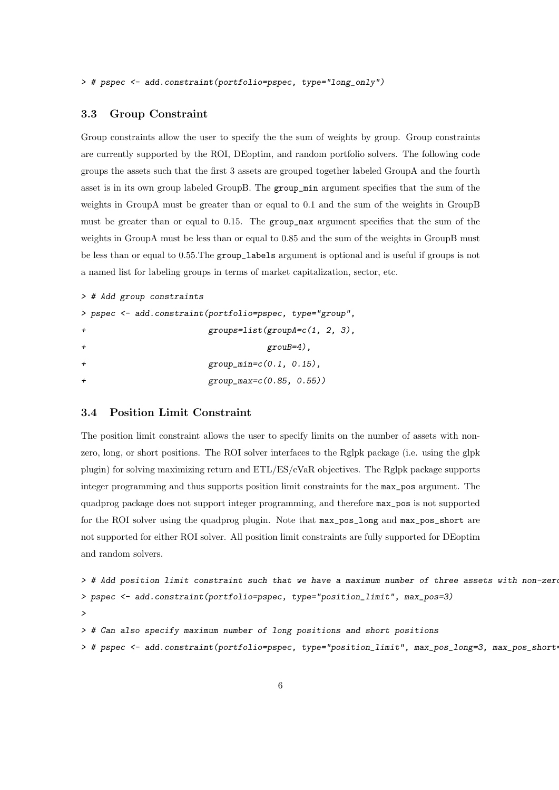> # pspec <- add.constraint(portfolio=pspec, type="long\_only")

#### <span id="page-5-0"></span>3.3 Group Constraint

Group constraints allow the user to specify the the sum of weights by group. Group constraints are currently supported by the ROI, DEoptim, and random portfolio solvers. The following code groups the assets such that the first 3 assets are grouped together labeled GroupA and the fourth asset is in its own group labeled GroupB. The group\_min argument specifies that the sum of the weights in GroupA must be greater than or equal to 0.1 and the sum of the weights in GroupB must be greater than or equal to 0.15. The group\_max argument specifies that the sum of the weights in GroupA must be less than or equal to 0.85 and the sum of the weights in GroupB must be less than or equal to 0.55.The group\_labels argument is optional and is useful if groups is not a named list for labeling groups in terms of market capitalization, sector, etc.

```
> # Add group constraints
> pspec <- add.constraint(portfolio=pspec, type="group",
                        groups=list(groupA=c(1, 2, 3),\text{group}=4).
                        group\_min = c(0.1, 0.15),
+ group_max=c(0.85, 0.55))
```
#### <span id="page-5-1"></span>3.4 Position Limit Constraint

The position limit constraint allows the user to specify limits on the number of assets with nonzero, long, or short positions. The ROI solver interfaces to the Rglpk package (i.e. using the glpk plugin) for solving maximizing return and ETL/ES/cVaR objectives. The Rglpk package supports integer programming and thus supports position limit constraints for the max\_pos argument. The quadprog package does not support integer programming, and therefore max\_pos is not supported for the ROI solver using the quadprog plugin. Note that max\_pos\_long and max\_pos\_short are not supported for either ROI solver. All position limit constraints are fully supported for DEoptim and random solvers.

```
> # Add position limit constraint such that we have a maximum number of three assets with non-zero
> pspec <- add.constraint(portfolio=pspec, type="position_limit", max_pos=3)
>
> # Can also specify maximum number of long positions and short positions
> # pspec <- add.constraint(portfolio=pspec, type="position_limit", max_pos_long=3, max_pos_short=3)
```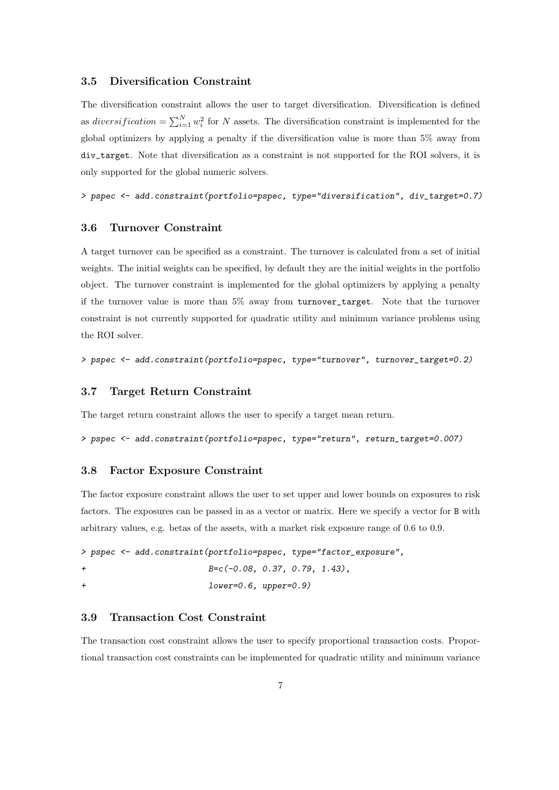#### <span id="page-6-0"></span>3.5 Diversification Constraint

The diversification constraint allows the user to target diversification. Diversification is defined as *diversification* =  $\sum_{i=1}^{N} w_i^2$  for *N* assets. The diversification constraint is implemented for the global optimizers by applying a penalty if the diversification value is more than 5% away from div\_target. Note that diversification as a constraint is not supported for the ROI solvers, it is only supported for the global numeric solvers.

> pspec <- add.constraint(portfolio=pspec, type="diversification", div\_target=0.7)

#### <span id="page-6-1"></span>3.6 Turnover Constraint

A target turnover can be specified as a constraint. The turnover is calculated from a set of initial weights. The initial weights can be specified, by default they are the initial weights in the portfolio object. The turnover constraint is implemented for the global optimizers by applying a penalty if the turnover value is more than 5% away from turnover\_target. Note that the turnover constraint is not currently supported for quadratic utility and minimum variance problems using the ROI solver.

> pspec <- add.constraint(portfolio=pspec, type="turnover", turnover\_target=0.2)

#### <span id="page-6-2"></span>3.7 Target Return Constraint

The target return constraint allows the user to specify a target mean return.

> pspec <- add.constraint(portfolio=pspec, type="return", return\_target=0.007)

#### <span id="page-6-3"></span>3.8 Factor Exposure Constraint

The factor exposure constraint allows the user to set upper and lower bounds on exposures to risk factors. The exposures can be passed in as a vector or matrix. Here we specify a vector for B with arbitrary values, e.g. betas of the assets, with a market risk exposure range of 0.6 to 0.9.

> pspec <- add.constraint(portfolio=pspec, type="factor\_exposure", + B=c(-0.08, 0.37, 0.79, 1.43), + lower=0.6, upper=0.9)

## <span id="page-6-4"></span>3.9 Transaction Cost Constraint

The transaction cost constraint allows the user to specify proportional transaction costs. Proportional transaction cost constraints can be implemented for quadratic utility and minimum variance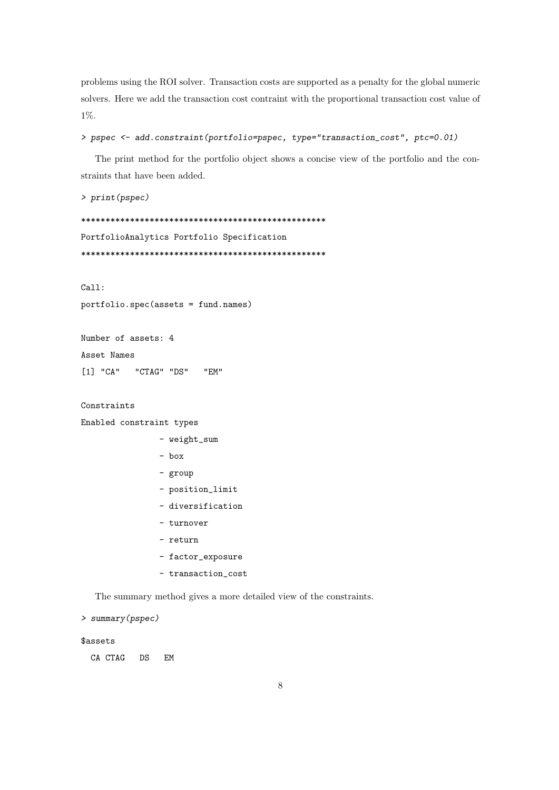problems using the ROI solver. Transaction costs are supported as a penalty for the global numeric solvers. Here we add the transaction cost contraint with the proportional transaction cost value of 1%.

```
> pspec <- add.constraint(portfolio=pspec, type="transaction_cost", ptc=0.01)
```
The print method for the portfolio object shows a concise view of the portfolio and the constraints that have been added.

> print(pspec)

\*\*\*\*\*\*\*\*\*\*\*\*\*\*\*\*\*\*\*\*\*\*\*\*\*\*\*\*\*\*\*\*\*\*\*\*\*\*\*\*\*\*\*\*\*\*\*\*\*\* PortfolioAnalytics Portfolio Specification \*\*\*\*\*\*\*\*\*\*\*\*\*\*\*\*\*\*\*\*\*\*\*\*\*\*\*\*\*\*\*\*\*\*\*\*\*\*\*\*\*\*\*\*\*\*\*\*\*\*

Call:

```
portfolio.spec(assets = fund.names)
```

```
Number of assets: 4
Asset Names
[1] "CA" "CTAG" "DS" "EM"
```
Constraints

```
Enabled constraint types
```
- weight\_sum
- box
- group
- position\_limit
- diversification
- turnover
- return
- factor\_exposure
- transaction\_cost

The summary method gives a more detailed view of the constraints.

> summary(pspec)

#### \$assets

CA CTAG DS EM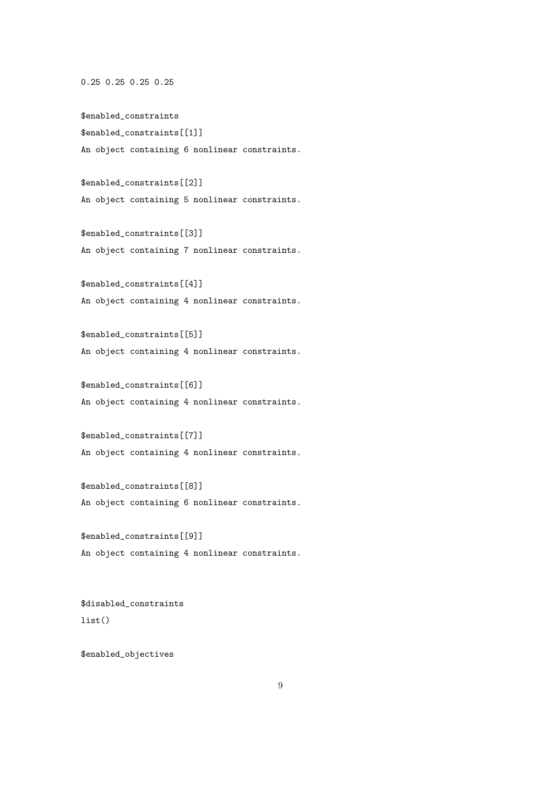0.25 0.25 0.25 0.25

\$enabled\_constraints \$enabled\_constraints[[1]] An object containing 6 nonlinear constraints.

\$enabled\_constraints[[2]] An object containing 5 nonlinear constraints.

\$enabled\_constraints[[3]] An object containing 7 nonlinear constraints.

\$enabled\_constraints[[4]] An object containing 4 nonlinear constraints.

\$enabled\_constraints[[5]] An object containing 4 nonlinear constraints.

\$enabled\_constraints[[6]] An object containing 4 nonlinear constraints.

\$enabled\_constraints[[7]] An object containing 4 nonlinear constraints.

\$enabled\_constraints[[8]] An object containing 6 nonlinear constraints.

\$enabled\_constraints[[9]] An object containing 4 nonlinear constraints.

\$disabled\_constraints list()

\$enabled\_objectives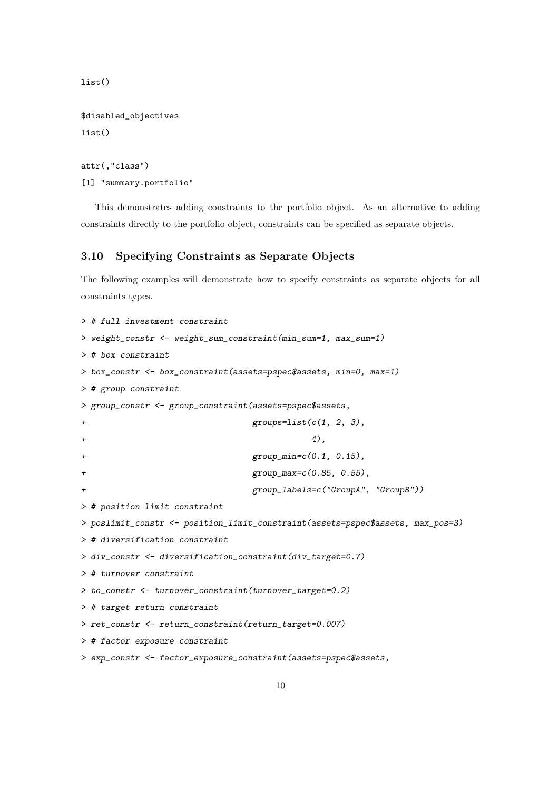list()

```
$disabled_objectives
list()
```

```
attr(,"class")
[1] "summary.portfolio"
```
This demonstrates adding constraints to the portfolio object. As an alternative to adding constraints directly to the portfolio object, constraints can be specified as separate objects.

### <span id="page-9-0"></span>3.10 Specifying Constraints as Separate Objects

The following examples will demonstrate how to specify constraints as separate objects for all constraints types.

```
> # full investment constraint
> weight_constr <- weight_sum_constraint(min_sum=1, max_sum=1)
> # box constraint
> box_constr <- box_constraint(assets=pspec$assets, min=0, max=1)
> # group constraint
> group_constr <- group_constraint(assets=pspec$assets,
+ groups=list(c(1, 2, 3),
+ 4),
                               group\_min = c(0.1, 0.15),
+ group_max=c(0.85, 0.55),
                               + group_labels=c("GroupA", "GroupB"))
> # position limit constraint
> poslimit_constr <- position_limit_constraint(assets=pspec$assets, max_pos=3)
> # diversification constraint
> div_constr <- diversification_constraint(div_target=0.7)
> # turnover constraint
> to_constr <- turnover_constraint(turnover_target=0.2)
> # target return constraint
> ret_constr <- return_constraint(return_target=0.007)
> # factor exposure constraint
> exp_constr <- factor_exposure_constraint(assets=pspec$assets,
```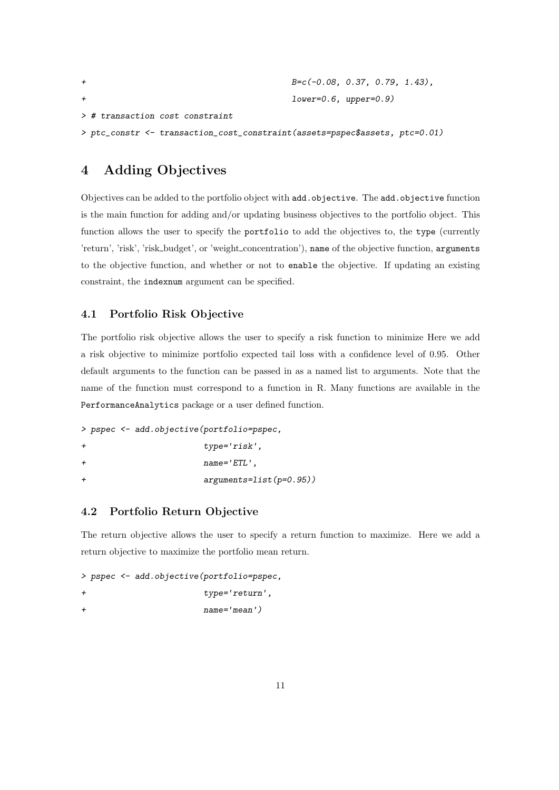| $B=c(-0.08, 0.37, 0.79, 1.43)$ ,                                            |
|-----------------------------------------------------------------------------|
| $lower=0.6$ , $upper=0.9$ )                                                 |
| $\geq$ # transaction cost constraint                                        |
| > ptc_constr <- transaction_cost_constraint(assets=pspec\$assets, ptc=0.01) |

## <span id="page-10-0"></span>4 Adding Objectives

Objectives can be added to the portfolio object with add.objective. The add.objective function is the main function for adding and/or updating business objectives to the portfolio object. This function allows the user to specify the portfolio to add the objectives to, the type (currently 'return', 'risk', 'risk\_budget', or 'weight\_concentration'), name of the objective function, arguments to the objective function, and whether or not to enable the objective. If updating an existing constraint, the indexnum argument can be specified.

### <span id="page-10-1"></span>4.1 Portfolio Risk Objective

The portfolio risk objective allows the user to specify a risk function to minimize Here we add a risk objective to minimize portfolio expected tail loss with a confidence level of 0.95. Other default arguments to the function can be passed in as a named list to arguments. Note that the name of the function must correspond to a function in R. Many functions are available in the PerformanceAnalytics package or a user defined function.

```
> pspec <- add.objective(portfolio=pspec,
+ type='risk',
+ name='ETL',
+ arguments=list(p=0.95))
```
## <span id="page-10-2"></span>4.2 Portfolio Return Objective

The return objective allows the user to specify a return function to maximize. Here we add a return objective to maximize the portfolio mean return.

```
> pspec <- add.objective(portfolio=pspec,
+ type='return',
+ name='mean')
```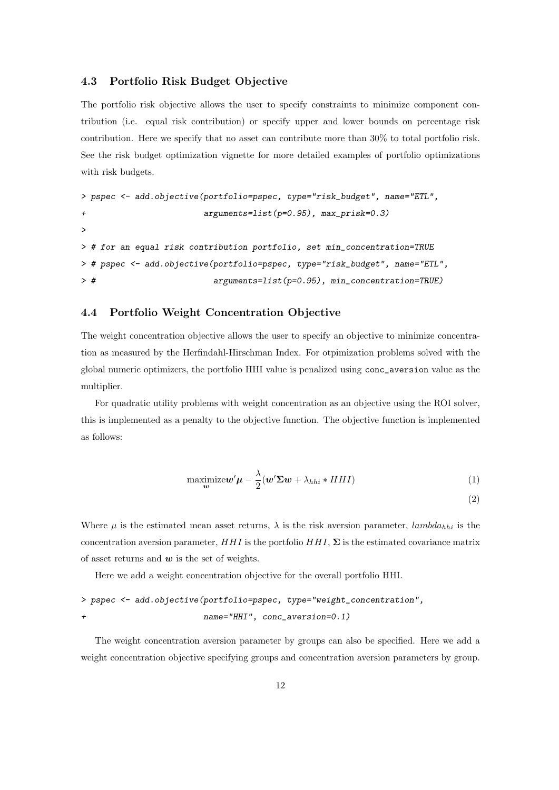### <span id="page-11-0"></span>4.3 Portfolio Risk Budget Objective

The portfolio risk objective allows the user to specify constraints to minimize component contribution (i.e. equal risk contribution) or specify upper and lower bounds on percentage risk contribution. Here we specify that no asset can contribute more than 30% to total portfolio risk. See the risk budget optimization vignette for more detailed examples of portfolio optimizations with risk budgets.

```
> pspec <- add.objective(portfolio=pspec, type="risk_budget", name="ETL",
+ arguments=list(p=0.95), max_prisk=0.3)
>
> # for an equal risk contribution portfolio, set min_concentration=TRUE
> # pspec <- add.objective(portfolio=pspec, type="risk_budget", name="ETL",
> # arguments=list(p=0.95), min_concentration=TRUE)
```
#### <span id="page-11-1"></span>4.4 Portfolio Weight Concentration Objective

The weight concentration objective allows the user to specify an objective to minimize concentration as measured by the Herfindahl-Hirschman Index. For otpimization problems solved with the global numeric optimizers, the portfolio HHI value is penalized using conc\_aversion value as the multiplier.

For quadratic utility problems with weight concentration as an objective using the ROI solver, this is implemented as a penalty to the objective function. The objective function is implemented as follows:

$$
\underset{\mathbf{w}}{\text{maximize}} \mathbf{w}' \boldsymbol{\mu} - \frac{\lambda}{2} (\mathbf{w}' \boldsymbol{\Sigma} \mathbf{w} + \lambda_{hhi} * HHI) \tag{1}
$$

$$
^{(2)}
$$

Where  $\mu$  is the estimated mean asset returns,  $\lambda$  is the risk aversion parameter, *lambda<sub>hhi</sub>* is the concentration aversion parameter,  $HHI$  is the portfolio  $HHI$ ,  $\Sigma$  is the estimated covariance matrix of asset returns and *w* is the set of weights.

Here we add a weight concentration objective for the overall portfolio HHI.

```
> pspec <- add.objective(portfolio=pspec, type="weight_concentration",
+ name="HHI", conc_aversion=0.1)
```
The weight concentration aversion parameter by groups can also be specified. Here we add a weight concentration objective specifying groups and concentration aversion parameters by group.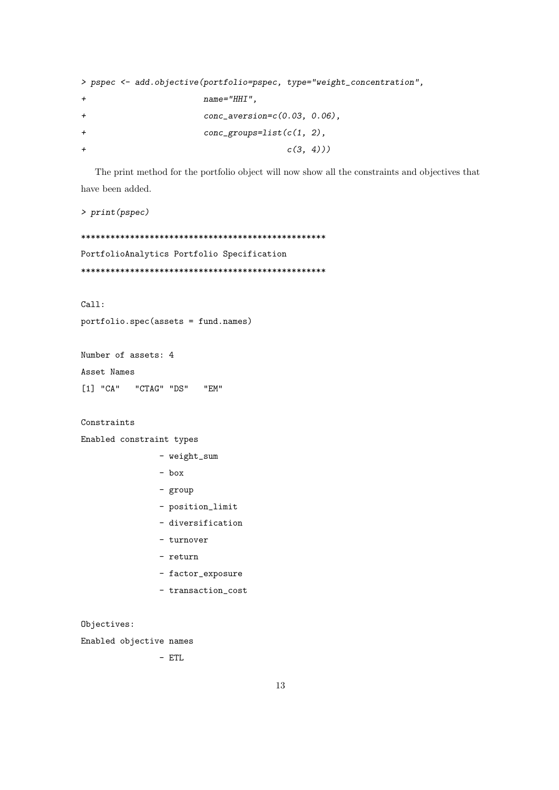```
> pspec <- add.objective(portfolio=pspec, type="weight_concentration",
+ name="HHI",
+ conc_aversion=c(0.03, 0.06),
+ conc_groups=list(c(1, 2),
+ c(3, 4))
```
The print method for the portfolio object will now show all the constraints and objectives that have been added.

> print(pspec)

\*\*\*\*\*\*\*\*\*\*\*\*\*\*\*\*\*\*\*\*\*\*\*\*\*\*\*\*\*\*\*\*\*\*\*\*\*\*\*\*\*\*\*\*\*\*\*\*\*\* PortfolioAnalytics Portfolio Specification \*\*\*\*\*\*\*\*\*\*\*\*\*\*\*\*\*\*\*\*\*\*\*\*\*\*\*\*\*\*\*\*\*\*\*\*\*\*\*\*\*\*\*\*\*\*\*\*\*\*

Call:

portfolio.spec(assets = fund.names)

Number of assets: 4 Asset Names [1] "CA" "CTAG" "DS" "EM"

```
Constraints
```
Enabled constraint types

- weight\_sum
- box
- group
- position\_limit
- diversification
- turnover
- return
- factor\_exposure
- transaction\_cost

Objectives:

Enabled objective names

- ETL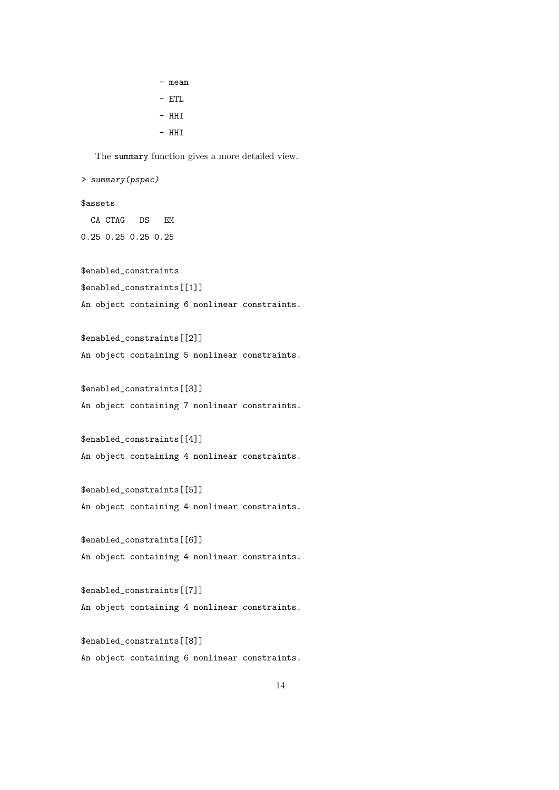- mean

- ETL
- HHI
- $-$  HHT

The summary function gives a more detailed view.

> summary(pspec)

#### \$assets

CA CTAG DS EM 0.25 0.25 0.25 0.25

#### \$enabled\_constraints

\$enabled\_constraints[[1]]

An object containing 6 nonlinear constraints.

\$enabled\_constraints[[2]] An object containing 5 nonlinear constraints.

\$enabled\_constraints[[3]] An object containing 7 nonlinear constraints.

```
$enabled_constraints[[4]]
An object containing 4 nonlinear constraints.
```
\$enabled\_constraints[[5]] An object containing 4 nonlinear constraints.

\$enabled\_constraints[[6]] An object containing 4 nonlinear constraints.

\$enabled\_constraints[[7]] An object containing 4 nonlinear constraints.

\$enabled\_constraints[[8]] An object containing 6 nonlinear constraints.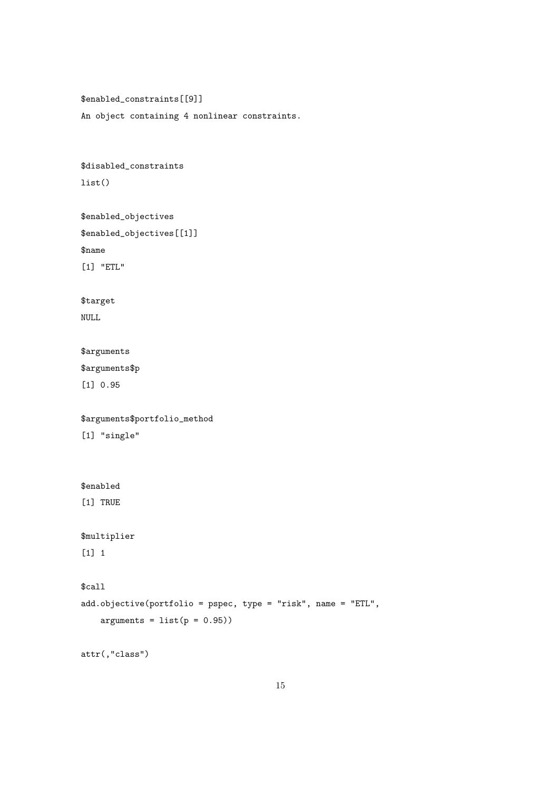\$enabled\_constraints[[9]] An object containing 4 nonlinear constraints.

```
$disabled_constraints
list()
```

```
$enabled_objectives
$enabled_objectives[[1]]
$name
[1] "ETL"
```
\$target NULL

### \$arguments

\$arguments\$p

[1] 0.95

\$arguments\$portfolio\_method

[1] "single"

```
$enabled
```
[1] TRUE

```
$multiplier
```
 $[1]$  1

```
$call
```

```
add.objective(portfolio = pspec, type = "risk", name = "ETL",
    arguments = list(p = 0.95))
```
attr(,"class")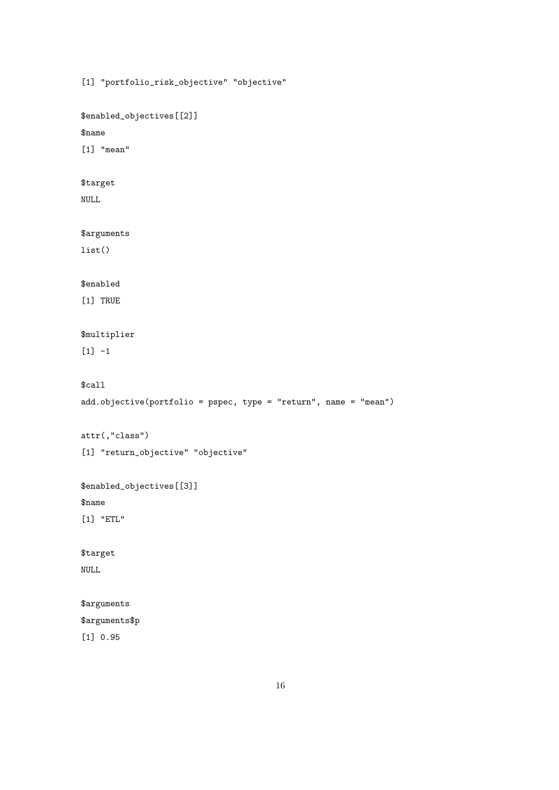[1] "portfolio\_risk\_objective" "objective"

\$enabled\_objectives[[2]]

#### \$name

[1] "mean"

## \$target

NULL

### \$arguments

list()

#### \$enabled

[1] TRUE

## \$multiplier

 $[1] -1$ 

### \$call

```
add.objective(portfolio = pspec, type = "return", name = "mean")
```
attr(,"class")

```
[1] "return_objective" "objective"
```
\$enabled\_objectives[[3]]

#### \$name

[1] "ETL"

## \$target

NULL

#### \$arguments

## \$arguments\$p

[1] 0.95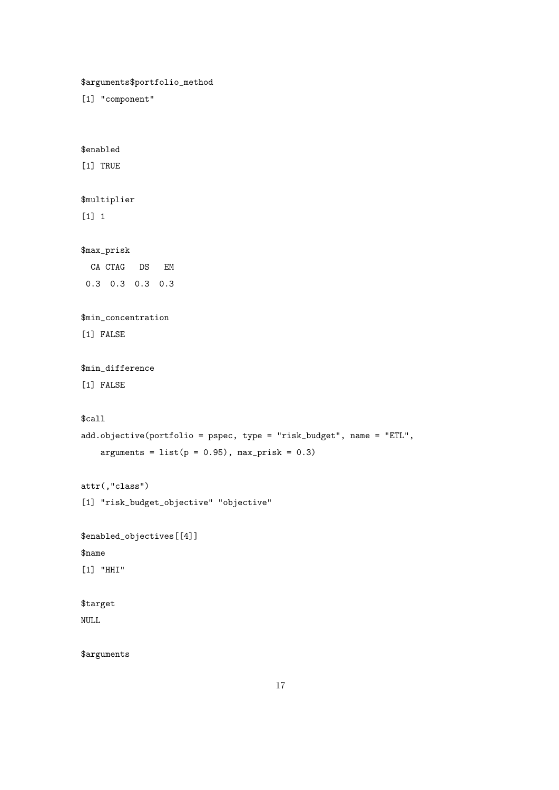\$arguments\$portfolio\_method [1] "component" \$enabled [1] TRUE \$multiplier [1] 1 \$max\_prisk CA CTAG DS EM 0.3 0.3 0.3 0.3 \$min\_concentration [1] FALSE \$min\_difference [1] FALSE \$call add.objective(portfolio = pspec, type = "risk\_budget", name = "ETL",  $arguments = list(p = 0.95), max_prisk = 0.3)$ attr(,"class") [1] "risk\_budget\_objective" "objective" \$enabled\_objectives[[4]] \$name [1] "HHI" \$target NULL \$arguments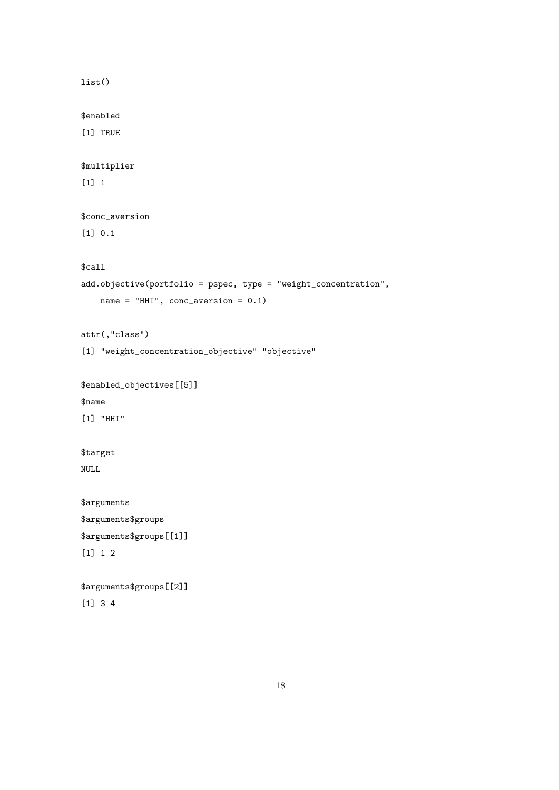```
list()
$enabled
[1] TRUE
$multiplier
[1] 1
$conc_aversion
[1] 0.1
$call
add.objective(portfolio = pspec, type = "weight_concentration",
   name = "HHI", conc_aversion = 0.1)
attr(,"class")
[1] "weight_concentration_objective" "objective"
$enabled_objectives[[5]]
$name
[1] "HHI"
$target
NULL
$arguments
$arguments$groups
$arguments$groups[[1]]
[1] 1 2
$arguments$groups[[2]]
[1] 3 4
```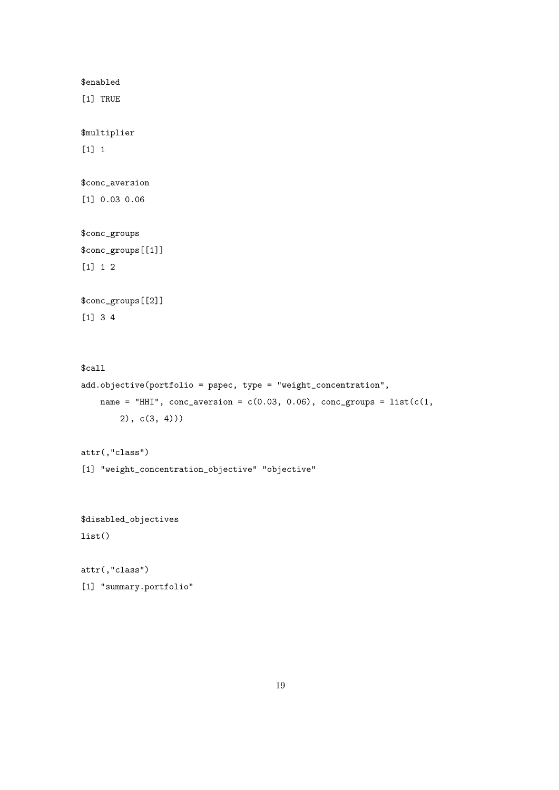\$enabled

[1] TRUE

\$multiplier

[1] 1

\$conc\_aversion

[1] 0.03 0.06

\$conc\_groups \$conc\_groups[[1]] [1] 1 2

\$conc\_groups[[2]]

[1] 3 4

\$call add.objective(portfolio = pspec, type = "weight\_concentration", name = "HHI",  $conc_aversion = c(0.03, 0.06)$ ,  $conc_groups = list(c(1,$ 2), c(3, 4)))

attr(,"class")

[1] "weight\_concentration\_objective" "objective"

\$disabled\_objectives list()

attr(,"class") [1] "summary.portfolio"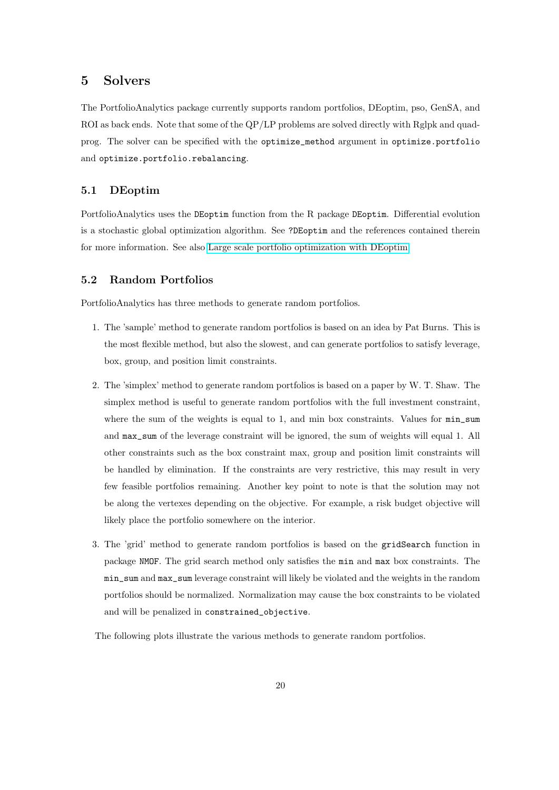## <span id="page-19-0"></span>5 Solvers

The PortfolioAnalytics package currently supports random portfolios, DEoptim, pso, GenSA, and ROI as back ends. Note that some of the QP/LP problems are solved directly with Rglpk and quadprog. The solver can be specified with the optimize\_method argument in optimize.portfolio and optimize.portfolio.rebalancing.

#### <span id="page-19-1"></span>5.1 DEoptim

PortfolioAnalytics uses the DEoptim function from the R package DEoptim. Differential evolution is a stochastic global optimization algorithm. See ?DEoptim and the references contained therein for more information. See also [Large scale portfolio optimization with DEoptim.](https://cran.r-project.org/web/packages/DEoptim/vignettes/DEoptimPortfolioOptimization.pdf)

### <span id="page-19-2"></span>5.2 Random Portfolios

PortfolioAnalytics has three methods to generate random portfolios.

- 1. The 'sample' method to generate random portfolios is based on an idea by Pat Burns. This is the most flexible method, but also the slowest, and can generate portfolios to satisfy leverage, box, group, and position limit constraints.
- 2. The 'simplex' method to generate random portfolios is based on a paper by W. T. Shaw. The simplex method is useful to generate random portfolios with the full investment constraint, where the sum of the weights is equal to 1, and min box constraints. Values for  $\min_{\mathbf{S}} \mathbf{S}$ and max\_sum of the leverage constraint will be ignored, the sum of weights will equal 1. All other constraints such as the box constraint max, group and position limit constraints will be handled by elimination. If the constraints are very restrictive, this may result in very few feasible portfolios remaining. Another key point to note is that the solution may not be along the vertexes depending on the objective. For example, a risk budget objective will likely place the portfolio somewhere on the interior.
- 3. The 'grid' method to generate random portfolios is based on the gridSearch function in package NMOF. The grid search method only satisfies the min and max box constraints. The min\_sum and max\_sum leverage constraint will likely be violated and the weights in the random portfolios should be normalized. Normalization may cause the box constraints to be violated and will be penalized in constrained\_objective.

The following plots illustrate the various methods to generate random portfolios.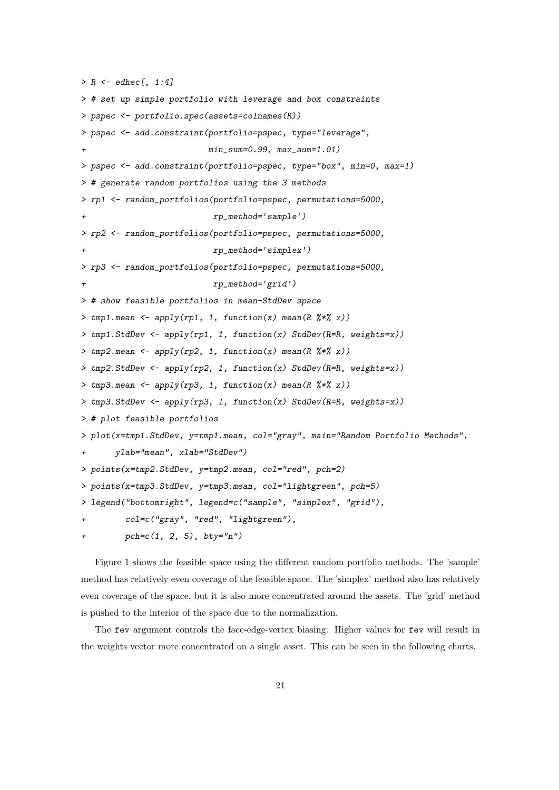```
> R \leq - edhec[, 1:4]
> # set up simple portfolio with leverage and box constraints
> pspec <- portfolio.spec(assets=colnames(R))
> pspec <- add.constraint(portfolio=pspec, type="leverage",
                         min\_sum=0.99, max\_sum=1.01)
> pspec <- add.constraint(portfolio=pspec, type="box", min=0, max=1)
> # generate random portfolios using the 3 methods
> rp1 <- random_portfolios(portfolio=pspec, permutations=5000,
+ rp_method='sample')
> rp2 <- random_portfolios(portfolio=pspec, permutations=5000,
                          + rp_method='simplex')
> rp3 <- random_portfolios(portfolio=pspec, permutations=5000,
+ rp_method='grid')
> # show feasible portfolios in mean-StdDev space
> tmp1.mean <- apply(rp1, 1, function(x) mean(R \frac{2}{3} x))
> tmp1.StdDev \leftarrow apply(rp1, 1, function(x) StdDev(R=R, weights=x))> tmp2.mean <- apply(rp2, 1, function(x) mean(R \frac{9*}{8*} x))
> tmp2.StdDev \le apply(rp2, 1, function(x) StdDev(R=R, weights=x))> tmp3.mean <- apply(rp3, 1, function(x) mean(R *\x))
> tmp3.StdDev <- apply(rp3, 1, function(x) StdDev(R=R, weights=x))
> # plot feasible portfolios
> plot(x=tmp1.StdDev, y=tmp1.mean, col="gray", main="Random Portfolio Methods",
+ ylab="mean", xlab="StdDev")
> points(x=tmp2.StdDev, y=tmp2.mean, col="red", pch=2)
> points(x=tmp3.StdDev, y=tmp3.mean, col="lightgreen", pch=5)
> legend("bottomright", legend=c("sample", "simplex", "grid"),
+ col=c("gray", "red", "lightgreen"),
+ pch=c(1, 2, 5), bty="n")
```
Figure 1 shows the feasible space using the different random portfolio methods. The 'sample' method has relatively even coverage of the feasible space. The 'simplex' method also has relatively even coverage of the space, but it is also more concentrated around the assets. The 'grid' method is pushed to the interior of the space due to the normalization.

The fev argument controls the face-edge-vertex biasing. Higher values for fev will result in the weights vector more concentrated on a single asset. This can be seen in the following charts.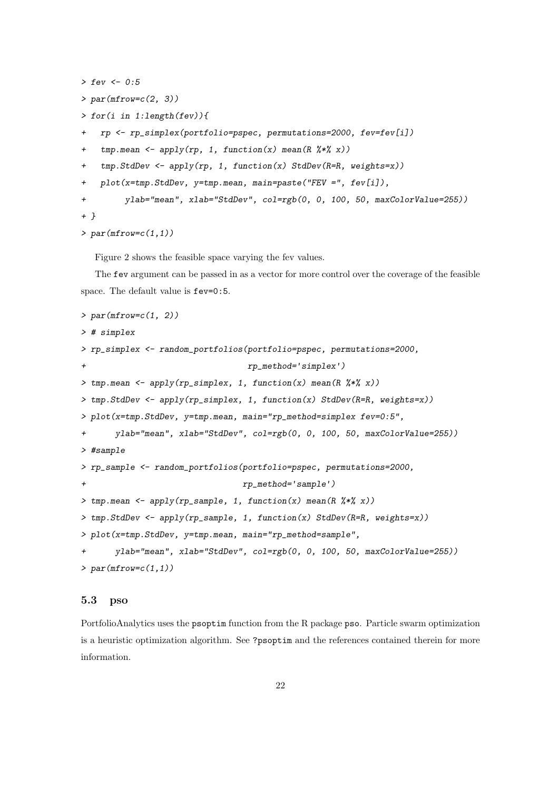```
> fev <- 0:5
> par(mfrow=c(2, 3))> for(i in 1:length(fev)){
+ rp <- rp_simplex(portfolio=pspec, permutations=2000, fev=fev[i])
+ tmp.mean <- apply(rp, 1, function(x) mean(R \frac{u}{x}))
+ tmp.StdDev <- apply(rp, 1, function(x) StdDev(R=R, weights=x))
+ plot(x=tmp.StdDev, y=tmp.mean, main=paste("FEV =", fev[i]),
+ ylab="mean", xlab="StdDev", col=rgb(0, 0, 100, 50, maxColorValue=255))
+ }
```

```
> par(mfrow=c(1,1))
```
Figure 2 shows the feasible space varying the fev values.

The fev argument can be passed in as a vector for more control over the coverage of the feasible space. The default value is fev=0:5.

```
> par(mfrow=c(1, 2))> # simplex
> rp_simplex <- random_portfolios(portfolio=pspec, permutations=2000,
+ rp_method='simplex')
> tmp.mean <- apply(rp_simplex, 1, function(x) mean(R %*% x))
> tmp.StdDev <- apply(rp_simplex, 1, function(x) StdDev(R=R, weights=x))
> plot(x=tmp.StdDev, y=tmp.mean, main="rp_method=simplex fev=0:5",
+ ylab="mean", xlab="StdDev", col=rgb(0, 0, 100, 50, maxColorValue=255))
> #sample
> rp_sample <- random_portfolios(portfolio=pspec, permutations=2000,
+ rp_method='sample')
> tmp.mean <- apply(rp_sample, 1, function(x) mean(R \frac{9*}{8*} x))
> tmp.StdDev <- apply(rp_sample, 1, function(x) StdDev(R=R, weights=x))
> plot(x=tmp.StdDev, y=tmp.mean, main="rp_method=sample",
      ylab="mean", xlab="StdDev", col=rgb(0, 0, 100, 50, maxColorValue=255))
> par(mfrow=c(1,1))
```
#### <span id="page-21-0"></span>5.3 pso

PortfolioAnalytics uses the psoptim function from the R package pso. Particle swarm optimization is a heuristic optimization algorithm. See ?psoptim and the references contained therein for more information.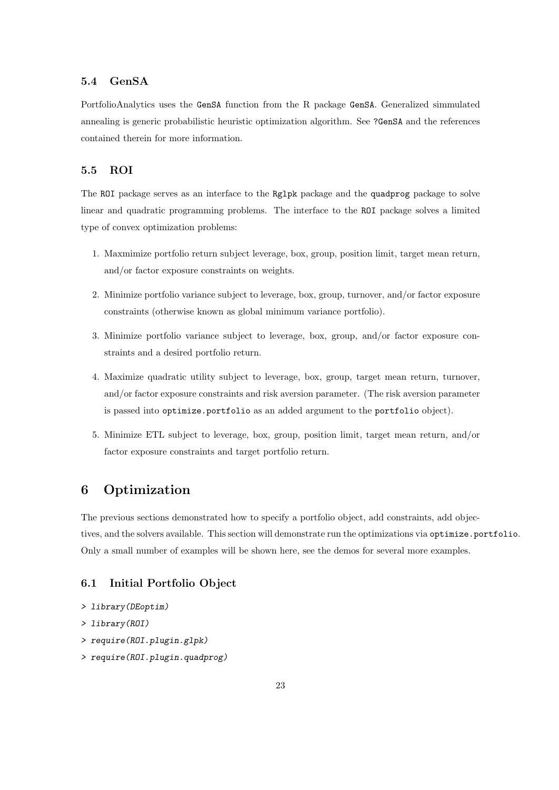## <span id="page-22-0"></span>5.4 GenSA

PortfolioAnalytics uses the GenSA function from the R package GenSA. Generalized simmulated annealing is generic probabilistic heuristic optimization algorithm. See ?GenSA and the references contained therein for more information.

## <span id="page-22-1"></span>5.5 ROI

The ROI package serves as an interface to the Rglpk package and the quadprog package to solve linear and quadratic programming problems. The interface to the ROI package solves a limited type of convex optimization problems:

- 1. Maxmimize portfolio return subject leverage, box, group, position limit, target mean return, and/or factor exposure constraints on weights.
- 2. Minimize portfolio variance subject to leverage, box, group, turnover, and/or factor exposure constraints (otherwise known as global minimum variance portfolio).
- 3. Minimize portfolio variance subject to leverage, box, group, and/or factor exposure constraints and a desired portfolio return.
- 4. Maximize quadratic utility subject to leverage, box, group, target mean return, turnover, and/or factor exposure constraints and risk aversion parameter. (The risk aversion parameter is passed into optimize.portfolio as an added argument to the portfolio object).
- 5. Minimize ETL subject to leverage, box, group, position limit, target mean return, and/or factor exposure constraints and target portfolio return.

## <span id="page-22-2"></span>6 Optimization

The previous sections demonstrated how to specify a portfolio object, add constraints, add objectives, and the solvers available. This section will demonstrate run the optimizations via optimize.portfolio. Only a small number of examples will be shown here, see the demos for several more examples.

#### <span id="page-22-3"></span>6.1 Initial Portfolio Object

- > library(DEoptim)
- > library(ROI)
- > require(ROI.plugin.glpk)
- > require(ROI.plugin.quadprog)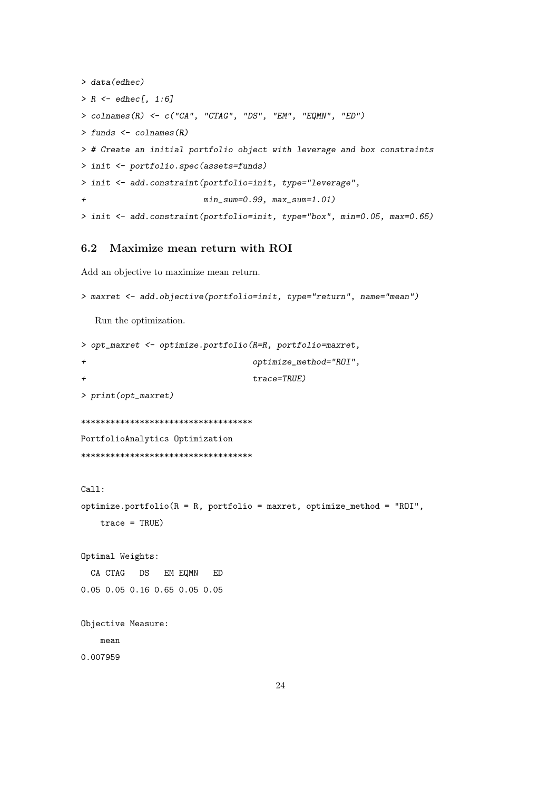```
> data(edhec)
> R \leq - edhec[, 1:6]
> colnames(R) <- c("CA", "CTAG", "DS", "EM", "EQMN", "ED")
> funds <- colnames(R)
> # Create an initial portfolio object with leverage and box constraints
> init <- portfolio.spec(assets=funds)
> init <- add.constraint(portfolio=init, type="leverage",
+ min_sum=0.99, max_sum=1.01)
> init <- add.constraint(portfolio=init, type="box", min=0.05, max=0.65)
```
### <span id="page-23-0"></span>6.2 Maximize mean return with ROI

Add an objective to maximize mean return.

```
> maxret <- add.objective(portfolio=init, type="return", name="mean")
```
Run the optimization.

```
> opt_maxret <- optimize.portfolio(R=R, portfolio=maxret,
+ optimize_method="ROI",
+ trace=TRUE)
> print(opt_maxret)
***********************************
PortfolioAnalytics Optimization
***********************************
Call:
optimize.portfolio(R = R, portfolio = maxret, optimize_method = "ROI",
   trace = TRUE)
Optimal Weights:
 CA CTAG DS EM EQMN ED
0.05 0.05 0.16 0.65 0.05 0.05
Objective Measure:
   mean
0.007959
```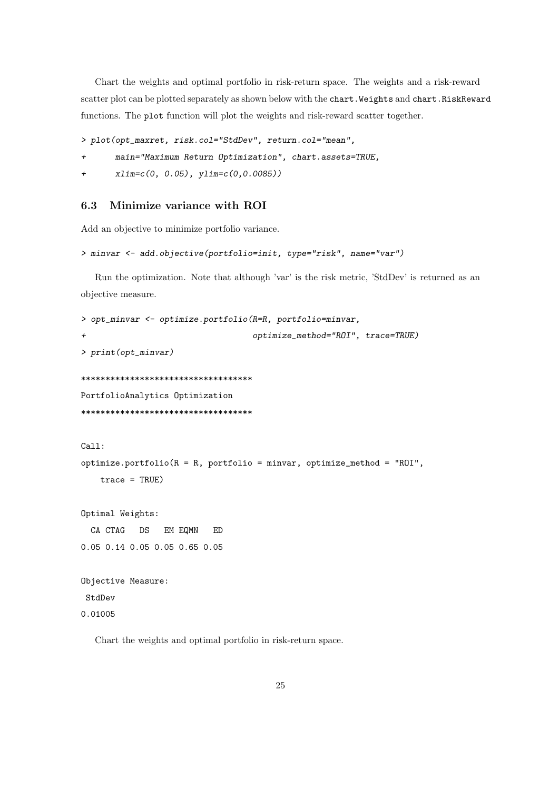Chart the weights and optimal portfolio in risk-return space. The weights and a risk-reward scatter plot can be plotted separately as shown below with the chart. Weights and chart.RiskReward functions. The plot function will plot the weights and risk-reward scatter together.

```
> plot(opt_maxret, risk.col="StdDev", return.col="mean",
```

```
+ main="Maximum Return Optimization", chart.assets=TRUE,
```

```
xlim=c(0, 0.05), ylim=c(0,0.0085))
```
### <span id="page-24-0"></span>6.3 Minimize variance with ROI

Add an objective to minimize portfolio variance.

```
> minvar <- add.objective(portfolio=init, type="risk", name="var")
```
Run the optimization. Note that although 'var' is the risk metric, 'StdDev' is returned as an objective measure.

```
> opt_minvar <- optimize.portfolio(R=R, portfolio=minvar,
+ optimize_method="ROI", trace=TRUE)
> print(opt_minvar)
***********************************
PortfolioAnalytics Optimization
***********************************
Call:
optimize.portfolio(R = R, portfolio = minvar, optimize_method = "ROI",
   trace = TRUE)
Optimal Weights:
 CA CTAG DS EM EQMN ED
0.05 0.14 0.05 0.05 0.65 0.05
Objective Measure:
StdDev
0.01005
```
Chart the weights and optimal portfolio in risk-return space.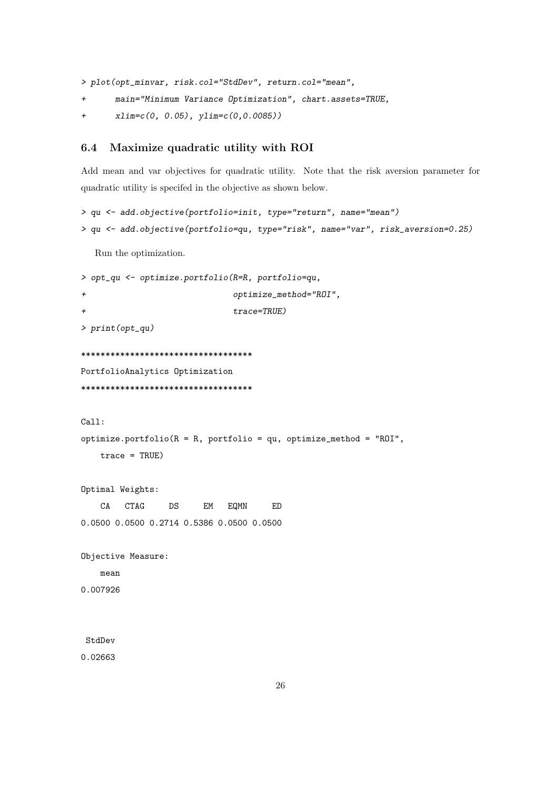> plot(opt\_minvar, risk.col="StdDev", return.col="mean",

- + main="Minimum Variance Optimization", chart.assets=TRUE,
- + xlim=c(0, 0.05), ylim=c(0,0.0085))

#### <span id="page-25-0"></span>6.4 Maximize quadratic utility with ROI

Add mean and var objectives for quadratic utility. Note that the risk aversion parameter for quadratic utility is specifed in the objective as shown below.

```
> qu <- add.objective(portfolio=init, type="return", name="mean")
```

```
> qu <- add.objective(portfolio=qu, type="risk", name="var", risk_aversion=0.25)
```
Run the optimization.

```
> opt_qu <- optimize.portfolio(R=R, portfolio=qu,
+ optimize_method="ROI",
+ trace=TRUE)
> print(opt_qu)
***********************************
PortfolioAnalytics Optimization
***********************************
Call:
optimize.portfolio(R = R, portfolio = qu, optimize_method = "ROI",
   trace = TRUE)
Optimal Weights:
   CA CTAG DS EM EQMN ED
0.0500 0.0500 0.2714 0.5386 0.0500 0.0500
Objective Measure:
   mean
0.007926
StdDev
```
0.02663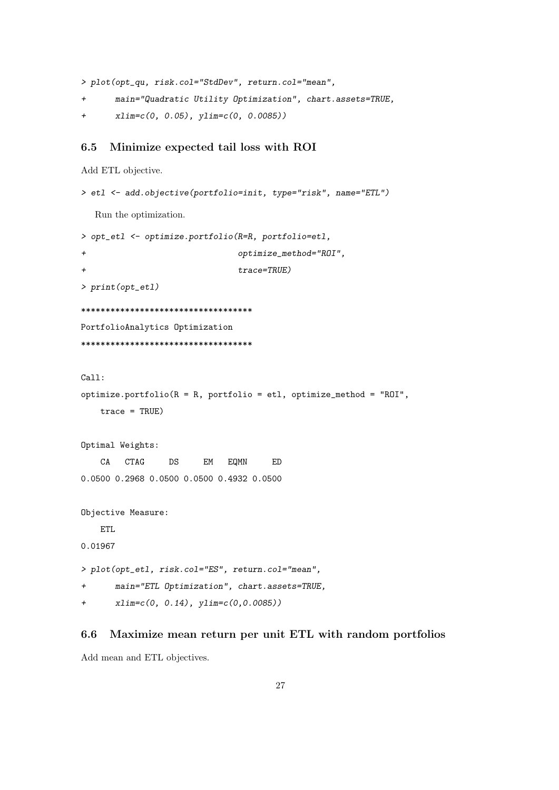> plot(opt\_qu, risk.col="StdDev", return.col="mean",

- + main="Quadratic Utility Optimization", chart.assets=TRUE,
- + xlim=c(0, 0.05), ylim=c(0, 0.0085))

#### <span id="page-26-0"></span>6.5 Minimize expected tail loss with ROI

```
Add ETL objective.
```

```
> etl <- add.objective(portfolio=init, type="risk", name="ETL")
  Run the optimization.
> opt_etl <- optimize.portfolio(R=R, portfolio=etl,
+ optimize_method="ROI",
+ trace=TRUE)
> print(opt_etl)
***********************************
PortfolioAnalytics Optimization
***********************************
Call:
optimize.portfolio(R = R, portfolio = etl, optimize_method = "ROI",
   trace = TRUE)
Optimal Weights:
   CA CTAG DS EM EQMN ED
0.0500 0.2968 0.0500 0.0500 0.4932 0.0500
Objective Measure:
   ETL
0.01967
> plot(opt_etl, risk.col="ES", return.col="mean",
+ main="ETL Optimization", chart.assets=TRUE,
+ xlim=c(0, 0.14), ylim=c(0,0.0085))
```
### <span id="page-26-1"></span>6.6 Maximize mean return per unit ETL with random portfolios

Add mean and ETL objectives.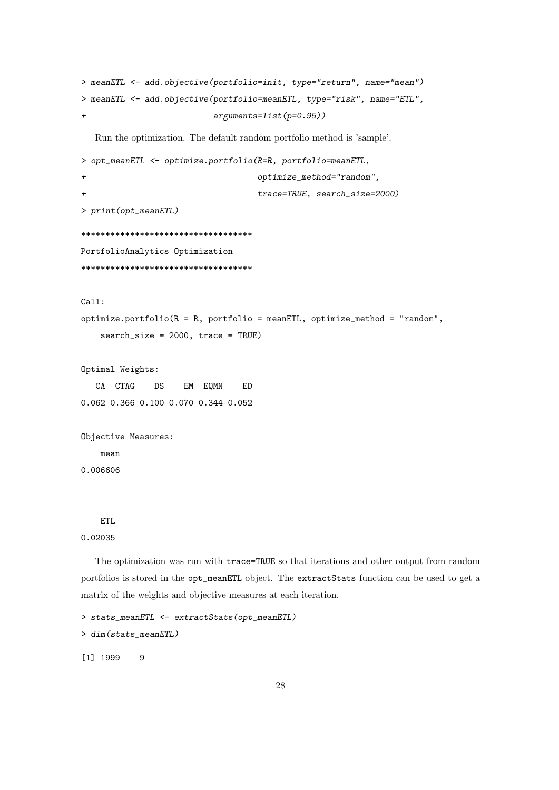```
> meanETL <- add.objective(portfolio=init, type="return", name="mean")
> meanETL <- add.objective(portfolio=meanETL, type="risk", name="ETL",
                         arguments=list(p=0.95))
  Run the optimization. The default random portfolio method is 'sample'.
> opt_meanETL <- optimize.portfolio(R=R, portfolio=meanETL,
+ optimize_method="random",
+ trace=TRUE, search_size=2000)
> print(opt_meanETL)
***********************************
PortfolioAnalytics Optimization
***********************************
Call:
optimize.portfolio(R = R, portfolio = meanETL, optimize_method = "random",
   search_size = 2000, trace = TRUE)
```
Optimal Weights:

CA CTAG DS EM EQMN ED 0.062 0.366 0.100 0.070 0.344 0.052

```
Objective Measures:
    mean
0.006606
```
## ETL.

#### 0.02035

The optimization was run with trace=TRUE so that iterations and other output from random portfolios is stored in the opt\_meanETL object. The extractStats function can be used to get a matrix of the weights and objective measures at each iteration.

```
> stats_meanETL <- extractStats(opt_meanETL)
> dim(stats_meanETL)
[1] 1999 9
```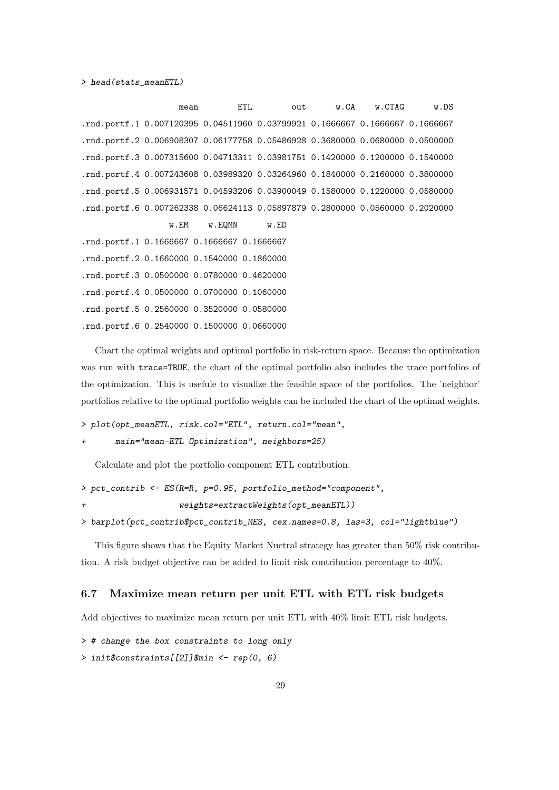mean ETL out w.CA w.CTAG w.DS .rnd.portf.1 0.007120395 0.04511960 0.03799921 0.1666667 0.1666667 0.1666667 .rnd.portf.2 0.006908307 0.06177758 0.05486928 0.3680000 0.0680000 0.0500000 .rnd.portf.3 0.007315600 0.04713311 0.03981751 0.1420000 0.1200000 0.1540000 .rnd.portf.4 0.007243608 0.03989320 0.03264960 0.1840000 0.2160000 0.3800000 .rnd.portf.5 0.006931571 0.04593206 0.03900049 0.1580000 0.1220000 0.0580000 .rnd.portf.6 0.007262338 0.06624113 0.05897879 0.2800000 0.0560000 0.2020000 w.EM w.EQMN w.ED .rnd.portf.1 0.1666667 0.1666667 0.1666667 .rnd.portf.2 0.1660000 0.1540000 0.1860000 .rnd.portf.3 0.0500000 0.0780000 0.4620000 .rnd.portf.4 0.0500000 0.0700000 0.1060000 .rnd.portf.5 0.2560000 0.3520000 0.0580000 .rnd.portf.6 0.2540000 0.1500000 0.0660000

Chart the optimal weights and optimal portfolio in risk-return space. Because the optimization was run with trace=TRUE, the chart of the optimal portfolio also includes the trace portfolios of the optimization. This is usefule to visualize the feasible space of the portfolios. The 'neighbor' portfolios relative to the optimal portfolio weights can be included the chart of the optimal weights.

```
> plot(opt_meanETL, risk.col="ETL", return.col="mean",
```

```
main="mean-ETL Optimization", neighbors=25)
```
Calculate and plot the portfolio component ETL contribution.

```
> pct_contrib <- ES(R=R, p=0.95, portfolio_method="component",
```

```
weights = extractWeights(opt\_meanETL))
```

```
> barplot(pct_contrib$pct_contrib_MES, cex.names=0.8, las=3, col="lightblue")
```
This figure shows that the Equity Market Nuetral strategy has greater than 50% risk contribution. A risk budget objective can be added to limit risk contribution percentage to 40%.

#### <span id="page-28-0"></span>6.7 Maximize mean return per unit ETL with ETL risk budgets

Add objectives to maximize mean return per unit ETL with 40% limit ETL risk budgets.

> # change the box constraints to long only

> init\$constraints[[2]]\$min <- rep(0, 6)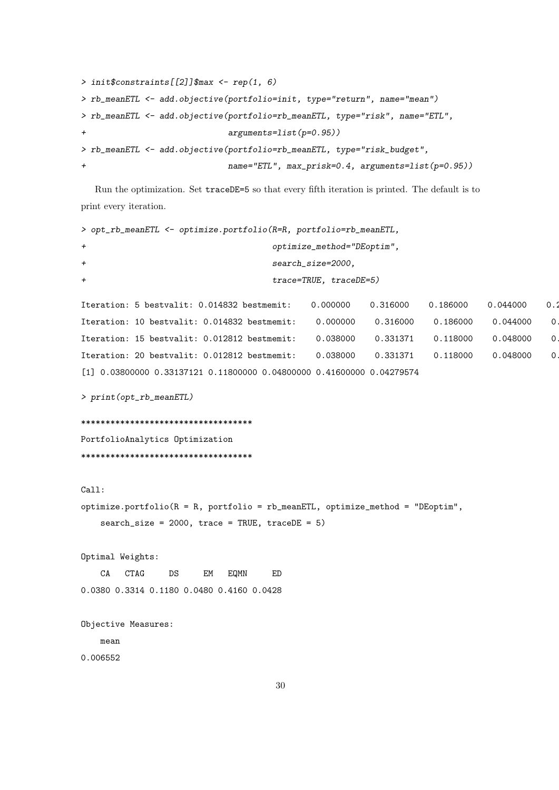```
> init$constraints[[2]]$max <- rep(1, 6)
> rb_meanETL <- add.objective(portfolio=init, type="return", name="mean")
> rb_meanETL <- add.objective(portfolio=rb_meanETL, type="risk", name="ETL",
+ arguments=list(p=0.95))
> rb_meanETL <- add.objective(portfolio=rb_meanETL, type="risk_budget",
+ name="ETL", max_prisk=0.4, arguments=list(p=0.95))
```
Run the optimization. Set traceDE=5 so that every fifth iteration is printed. The default is to print every iteration.

```
> opt_rb_meanETL <- optimize.portfolio(R=R, portfolio=rb_meanETL,
+ optimize_method="DEoptim",
+ search_size=2000,
+ trace=TRUE, traceDE=5)
Iteration: 5 bestvalit: 0.014832 bestmemit: 0.000000 0.316000 0.186000 0.044000 0.3
Iteration: 10 bestvalit: 0.014832 bestmemit: 0.000000 0.316000 0.186000 0.044000 0
Iteration: 15 bestvalit: 0.012812 bestmemit: 0.038000 0.331371 0.118000 0.048000 0
Iteration: 20 bestvalit: 0.012812 bestmemit: 0.038000 0.331371 0.118000 0.048000 0
[1] 0.03800000 0.33137121 0.11800000 0.04800000 0.41600000 0.04279574
> print(opt_rb_meanETL)
***********************************
PortfolioAnalytics Optimization
***********************************
Call:
optimize.portfolio(R = R, portfolio = rb_meanETL, optimize_method = "DEoptim",
   search_size = 2000, trace = TRUE, traceDE = 5)
Optimal Weights:
   CA CTAG DS EM EQMN ED
0.0380 0.3314 0.1180 0.0480 0.4160 0.0428
Objective Measures:
   mean
0.006552
```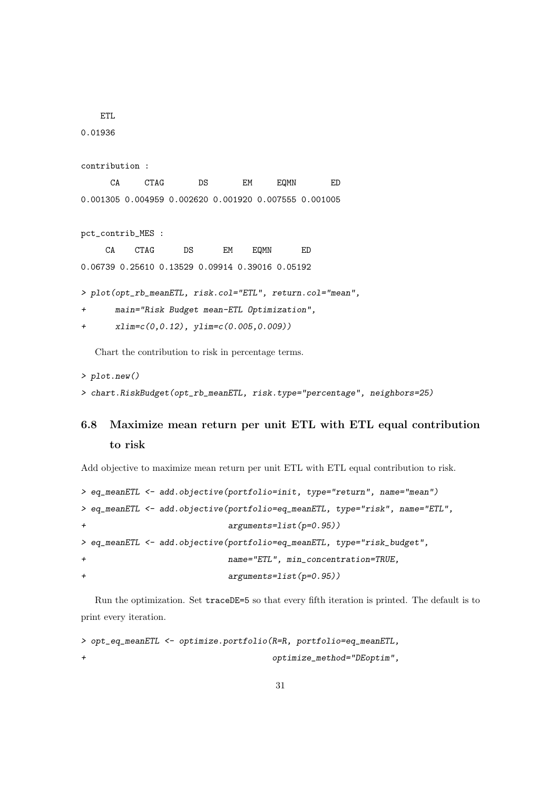```
ETL
```
0.01936

```
contribution :
```
CA CTAG DS EM EQMN ED 0.001305 0.004959 0.002620 0.001920 0.007555 0.001005

pct\_contrib\_MES :

CA CTAG DS EM EQMN ED 0.06739 0.25610 0.13529 0.09914 0.39016 0.05192

> plot(opt\_rb\_meanETL, risk.col="ETL", return.col="mean",

+ main="Risk Budget mean-ETL Optimization",

```
+ xlim=c(0,0.12), ylim=c(0.005,0.009))
```
Chart the contribution to risk in percentage terms.

```
> plot.new()
```
> chart.RiskBudget(opt\_rb\_meanETL, risk.type="percentage", neighbors=25)

## <span id="page-30-0"></span>6.8 Maximize mean return per unit ETL with ETL equal contribution to risk

Add objective to maximize mean return per unit ETL with ETL equal contribution to risk.

```
> eq_meanETL <- add.objective(portfolio=init, type="return", name="mean")
> eq_meanETL <- add.objective(portfolio=eq_meanETL, type="risk", name="ETL",
+ arguments=list(p=0.95))
> eq_meanETL <- add.objective(portfolio=eq_meanETL, type="risk_budget",
+ name="ETL", min_concentration=TRUE,
+ arguments=list(p=0.95))
```
Run the optimization. Set traceDE=5 so that every fifth iteration is printed. The default is to print every iteration.

```
> opt_eq_meanETL <- optimize.portfolio(R=R, portfolio=eq_meanETL,
+ optimize_method="DEoptim",
```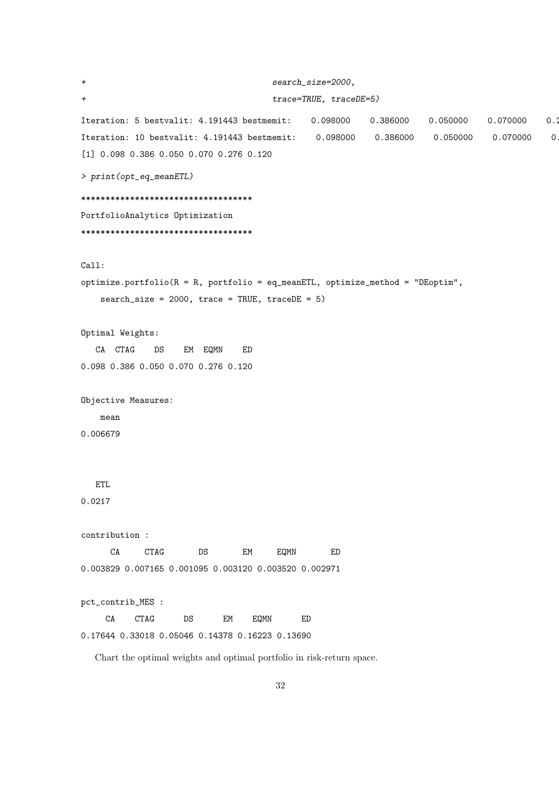```
+ search_size=2000,
+ trace=TRUE, traceDE=5)
Iteration: 5 bestvalit: 4.191443 bestmemit: 0.098000 0.386000 0.050000 0.070000 0.2
Iteration: 10 bestvalit: 4.191443 bestmemit: 0.098000 0.386000 0.050000 0.070000 0.
[1] 0.098 0.386 0.050 0.070 0.276 0.120
> print(opt_eq_meanETL)
***********************************
PortfolioAnalytics Optimization
***********************************
Call:
optimize.portfolio(R = R, portfolio = eq_meanETL, optimize_method = "DEoptim",
   search_size = 2000, trace = TRUE, traceDE = 5)Optimal Weights:
  CA CTAG DS EM EQMN ED
0.098 0.386 0.050 0.070 0.276 0.120
Objective Measures:
   mean
0.006679
  ETL
0.0217
contribution :
     CA CTAG DS EM EQMN ED
0.003829 0.007165 0.001095 0.003120 0.003520 0.002971
pct_contrib_MES :
    CA CTAG DS EM EQMN ED
0.17644 0.33018 0.05046 0.14378 0.16223 0.13690
  Chart the optimal weights and optimal portfolio in risk-return space.
```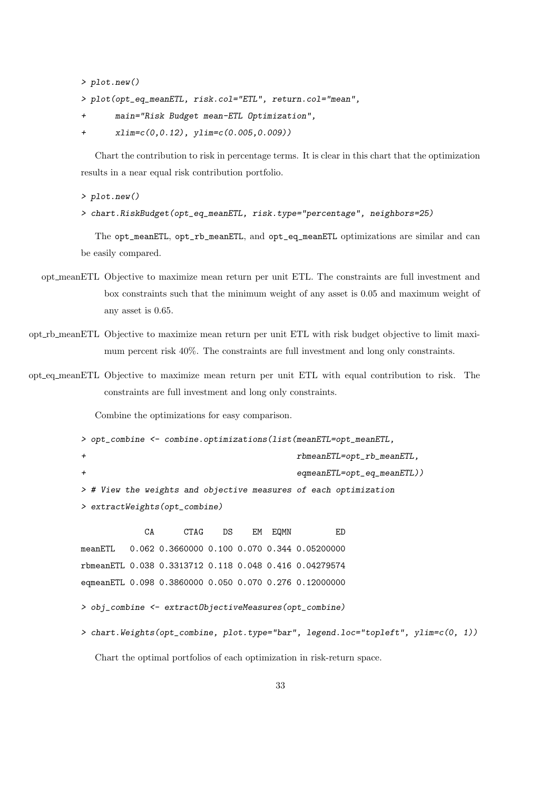> plot.new()

- > plot(opt\_eq\_meanETL, risk.col="ETL", return.col="mean",
- + main="Risk Budget mean-ETL Optimization",
- + xlim=c(0,0.12), ylim=c(0.005,0.009))

Chart the contribution to risk in percentage terms. It is clear in this chart that the optimization results in a near equal risk contribution portfolio.

> plot.new()

> chart.RiskBudget(opt\_eq\_meanETL, risk.type="percentage", neighbors=25)

The opt\_meanETL, opt\_rb\_meanETL, and opt\_eq\_meanETL optimizations are similar and can be easily compared.

- opt meanETL Objective to maximize mean return per unit ETL. The constraints are full investment and box constraints such that the minimum weight of any asset is 0.05 and maximum weight of any asset is 0.65.
- opt rb meanETL Objective to maximize mean return per unit ETL with risk budget objective to limit maximum percent risk 40%. The constraints are full investment and long only constraints.
- opt eq meanETL Objective to maximize mean return per unit ETL with equal contribution to risk. The constraints are full investment and long only constraints.

Combine the optimizations for easy comparison.

```
> opt_combine <- combine.optimizations(list(meanETL=opt_meanETL,
                                     + rbmeanETL=opt_rb_meanETL,
+ eqmeanETL=opt_eq_meanETL))
> # View the weights and objective measures of each optimization
> extractWeights(opt_combine)
```
CA CTAG DS EM EQMN ED meanETL 0.062 0.3660000 0.100 0.070 0.344 0.05200000 rbmeanETL 0.038 0.3313712 0.118 0.048 0.416 0.04279574 eqmeanETL 0.098 0.3860000 0.050 0.070 0.276 0.12000000

```
> obj_combine <- extractObjectiveMeasures(opt_combine)
```

```
> chart.Weights(opt_combine, plot.type="bar", legend.loc="topleft", ylim=c(0, 1))
```
Chart the optimal portfolios of each optimization in risk-return space.